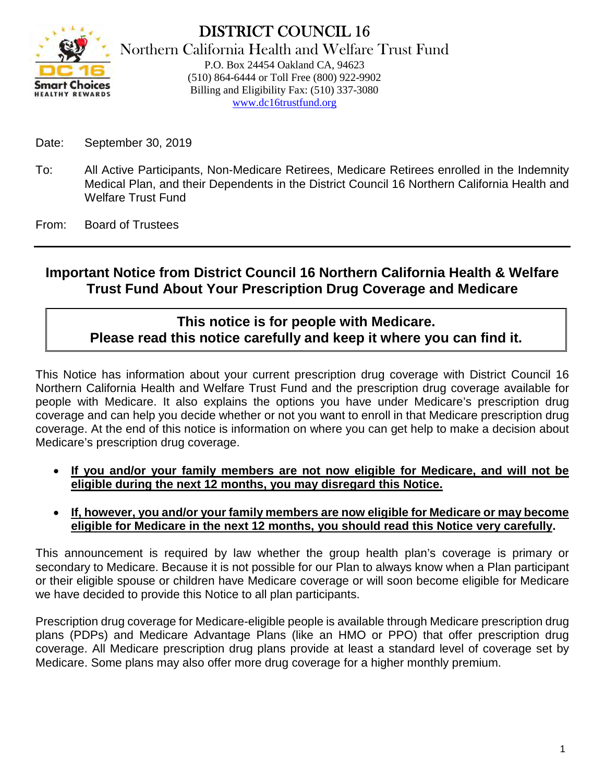

DISTRICT COUNCIL 16 Northern California Health and Welfare Trust Fund P.O. Box 24454 Oakland CA, 94623 (510) 864-6444 or Toll Free (800) 922-9902 Billing and Eligibility Fax: (510) 337-3080 www.dc16trustfund.org

- Date: September 30, 2019
- To: All Active Participants, Non-Medicare Retirees, Medicare Retirees enrolled in the Indemnity Medical Plan, and their Dependents in the District Council 16 Northern California Health and Welfare Trust Fund

From: Board of Trustees

# **Important Notice from District Council 16 Northern California Health & Welfare Trust Fund About Your Prescription Drug Coverage and Medicare**

# **This notice is for people with Medicare. Please read this notice carefully and keep it where you can find it.**

This Notice has information about your current prescription drug coverage with District Council 16 Northern California Health and Welfare Trust Fund and the prescription drug coverage available for people with Medicare. It also explains the options you have under Medicare's prescription drug coverage and can help you decide whether or not you want to enroll in that Medicare prescription drug coverage. At the end of this notice is information on where you can get help to make a decision about Medicare's prescription drug coverage.

- **If you and/or your family members are not now eligible for Medicare, and will not be eligible during the next 12 months, you may disregard this Notice.**
- **If, however, you and/or your family members are now eligible for Medicare or may become eligible for Medicare in the next 12 months, you should read this Notice very carefully.**

This announcement is required by law whether the group health plan's coverage is primary or secondary to Medicare. Because it is not possible for our Plan to always know when a Plan participant or their eligible spouse or children have Medicare coverage or will soon become eligible for Medicare we have decided to provide this Notice to all plan participants.

Prescription drug coverage for Medicare-eligible people is available through Medicare prescription drug plans (PDPs) and Medicare Advantage Plans (like an HMO or PPO) that offer prescription drug coverage. All Medicare prescription drug plans provide at least a standard level of coverage set by Medicare. Some plans may also offer more drug coverage for a higher monthly premium.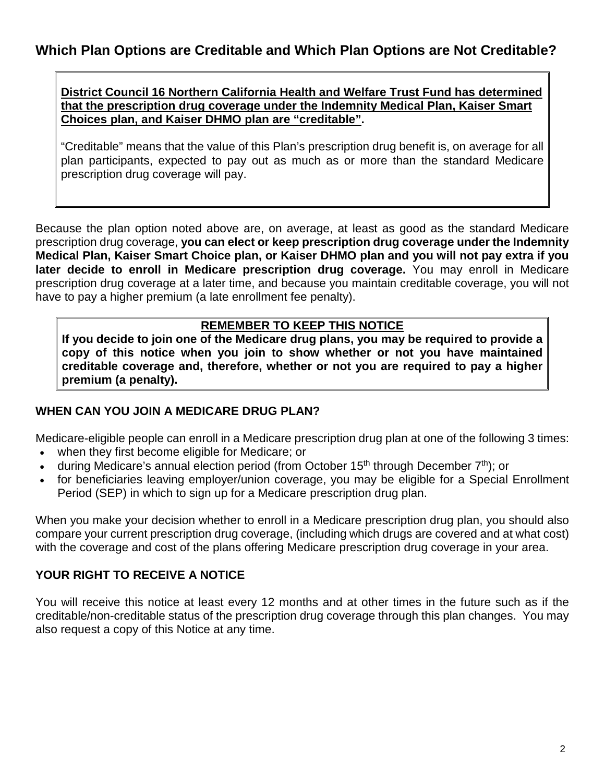**District Council 16 Northern California Health and Welfare Trust Fund has determined that the prescription drug coverage under the Indemnity Medical Plan, Kaiser Smart Choices plan, and Kaiser DHMO plan are "creditable".** 

"Creditable" means that the value of this Plan's prescription drug benefit is, on average for all plan participants, expected to pay out as much as or more than the standard Medicare prescription drug coverage will pay.

Because the plan option noted above are, on average, at least as good as the standard Medicare prescription drug coverage, **you can elect or keep prescription drug coverage under the Indemnity Medical Plan, Kaiser Smart Choice plan, or Kaiser DHMO plan and you will not pay extra if you later decide to enroll in Medicare prescription drug coverage.** You may enroll in Medicare prescription drug coverage at a later time, and because you maintain creditable coverage, you will not have to pay a higher premium (a late enrollment fee penalty).

### **REMEMBER TO KEEP THIS NOTICE**

**If you decide to join one of the Medicare drug plans, you may be required to provide a copy of this notice when you join to show whether or not you have maintained creditable coverage and, therefore, whether or not you are required to pay a higher premium (a penalty).**

### **WHEN CAN YOU JOIN A MEDICARE DRUG PLAN?**

Medicare-eligible people can enroll in a Medicare prescription drug plan at one of the following 3 times:

- when they first become eligible for Medicare; or
- during Medicare's annual election period (from October 15<sup>th</sup> through December  $7<sup>th</sup>$ ); or
- for beneficiaries leaving employer/union coverage, you may be eligible for a Special Enrollment Period (SEP) in which to sign up for a Medicare prescription drug plan.

When you make your decision whether to enroll in a Medicare prescription drug plan, you should also compare your current prescription drug coverage, (including which drugs are covered and at what cost) with the coverage and cost of the plans offering Medicare prescription drug coverage in your area.

## **YOUR RIGHT TO RECEIVE A NOTICE**

You will receive this notice at least every 12 months and at other times in the future such as if the creditable/non-creditable status of the prescription drug coverage through this plan changes. You may also request a copy of this Notice at any time.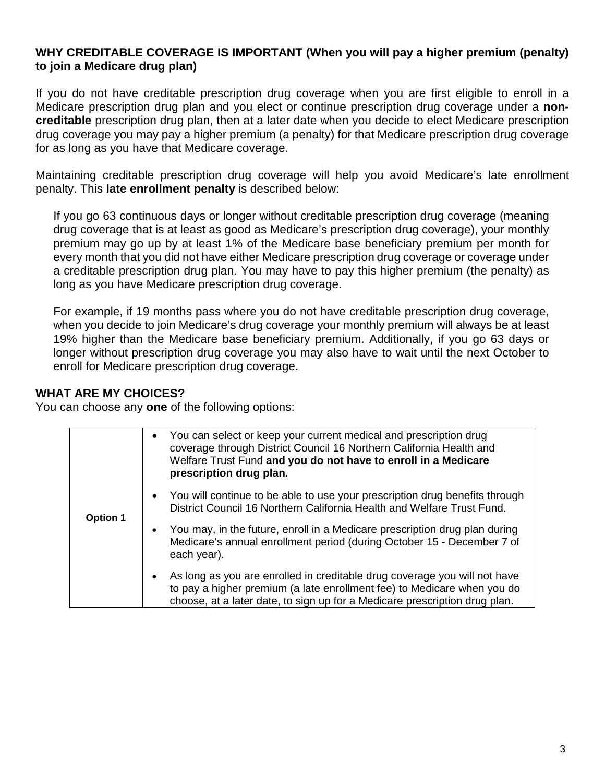#### **WHY CREDITABLE COVERAGE IS IMPORTANT (When you will pay a higher premium (penalty) to join a Medicare drug plan)**

If you do not have creditable prescription drug coverage when you are first eligible to enroll in a Medicare prescription drug plan and you elect or continue prescription drug coverage under a **noncreditable** prescription drug plan, then at a later date when you decide to elect Medicare prescription drug coverage you may pay a higher premium (a penalty) for that Medicare prescription drug coverage for as long as you have that Medicare coverage.

Maintaining creditable prescription drug coverage will help you avoid Medicare's late enrollment penalty. This **late enrollment penalty** is described below:

If you go 63 continuous days or longer without creditable prescription drug coverage (meaning drug coverage that is at least as good as Medicare's prescription drug coverage), your monthly premium may go up by at least 1% of the Medicare base beneficiary premium per month for every month that you did not have either Medicare prescription drug coverage or coverage under a creditable prescription drug plan. You may have to pay this higher premium (the penalty) as long as you have Medicare prescription drug coverage.

For example, if 19 months pass where you do not have creditable prescription drug coverage, when you decide to join Medicare's drug coverage your monthly premium will always be at least 19% higher than the Medicare base beneficiary premium. Additionally, if you go 63 days or longer without prescription drug coverage you may also have to wait until the next October to enroll for Medicare prescription drug coverage.

## **WHAT ARE MY CHOICES?**

You can choose any **one** of the following options:

| <b>Option 1</b> | • You can select or keep your current medical and prescription drug<br>coverage through District Council 16 Northern California Health and<br>Welfare Trust Fund and you do not have to enroll in a Medicare<br>prescription drug plan. |
|-----------------|-----------------------------------------------------------------------------------------------------------------------------------------------------------------------------------------------------------------------------------------|
|                 | • You will continue to be able to use your prescription drug benefits through<br>District Council 16 Northern California Health and Welfare Trust Fund.                                                                                 |
|                 | You may, in the future, enroll in a Medicare prescription drug plan during<br>$\bullet$<br>Medicare's annual enrollment period (during October 15 - December 7 of<br>each year).                                                        |
|                 | As long as you are enrolled in creditable drug coverage you will not have<br>to pay a higher premium (a late enrollment fee) to Medicare when you do<br>choose, at a later date, to sign up for a Medicare prescription drug plan.      |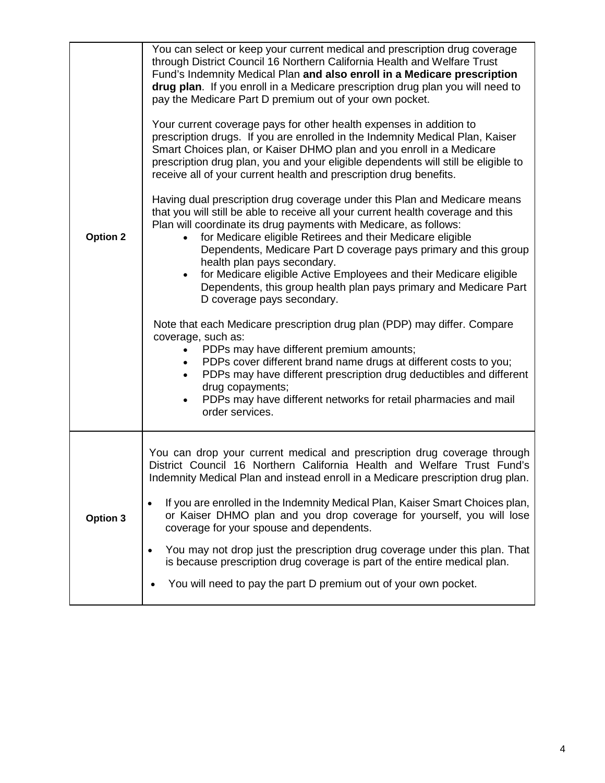| <b>Option 2</b> | You can select or keep your current medical and prescription drug coverage<br>through District Council 16 Northern California Health and Welfare Trust<br>Fund's Indemnity Medical Plan and also enroll in a Medicare prescription<br>drug plan. If you enroll in a Medicare prescription drug plan you will need to<br>pay the Medicare Part D premium out of your own pocket.<br>Your current coverage pays for other health expenses in addition to<br>prescription drugs. If you are enrolled in the Indemnity Medical Plan, Kaiser<br>Smart Choices plan, or Kaiser DHMO plan and you enroll in a Medicare<br>prescription drug plan, you and your eligible dependents will still be eligible to<br>receive all of your current health and prescription drug benefits.<br>Having dual prescription drug coverage under this Plan and Medicare means<br>that you will still be able to receive all your current health coverage and this<br>Plan will coordinate its drug payments with Medicare, as follows:<br>for Medicare eligible Retirees and their Medicare eligible<br>Dependents, Medicare Part D coverage pays primary and this group<br>health plan pays secondary.<br>for Medicare eligible Active Employees and their Medicare eligible<br>$\bullet$<br>Dependents, this group health plan pays primary and Medicare Part<br>D coverage pays secondary.<br>Note that each Medicare prescription drug plan (PDP) may differ. Compare<br>coverage, such as:<br>PDPs may have different premium amounts;<br>PDPs cover different brand name drugs at different costs to you;<br>PDPs may have different prescription drug deductibles and different<br>drug copayments;<br>PDPs may have different networks for retail pharmacies and mail<br>$\bullet$<br>order services. |
|-----------------|------------------------------------------------------------------------------------------------------------------------------------------------------------------------------------------------------------------------------------------------------------------------------------------------------------------------------------------------------------------------------------------------------------------------------------------------------------------------------------------------------------------------------------------------------------------------------------------------------------------------------------------------------------------------------------------------------------------------------------------------------------------------------------------------------------------------------------------------------------------------------------------------------------------------------------------------------------------------------------------------------------------------------------------------------------------------------------------------------------------------------------------------------------------------------------------------------------------------------------------------------------------------------------------------------------------------------------------------------------------------------------------------------------------------------------------------------------------------------------------------------------------------------------------------------------------------------------------------------------------------------------------------------------------------------------------------------------------------------------------------------------------------------------------|
| Option 3        | You can drop your current medical and prescription drug coverage through<br>District Council 16 Northern California Health and Welfare Trust Fund's<br>Indemnity Medical Plan and instead enroll in a Medicare prescription drug plan.<br>If you are enrolled in the Indemnity Medical Plan, Kaiser Smart Choices plan,<br>or Kaiser DHMO plan and you drop coverage for yourself, you will lose<br>coverage for your spouse and dependents.<br>You may not drop just the prescription drug coverage under this plan. That<br>is because prescription drug coverage is part of the entire medical plan.<br>You will need to pay the part D premium out of your own pocket.                                                                                                                                                                                                                                                                                                                                                                                                                                                                                                                                                                                                                                                                                                                                                                                                                                                                                                                                                                                                                                                                                                               |